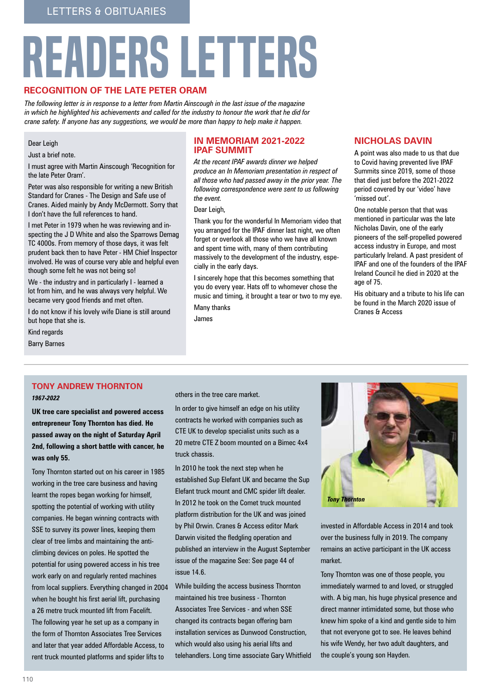# readers letters

## **Recognition of the late Peter Oram**

*The following letter is in response to a letter from Martin Ainscough in the last issue of the magazine in which he highlighted his achievements and called for the industry to honour the work that he did for crane safety. If anyone has any suggestions, we would be more than happy to help make it happen.*

#### Dear Leigh

Just a brief note.

I must agree with Martin Ainscough 'Recognition for the late Peter Oram'.

Peter was also responsible for writing a new British Standard for Cranes - The Design and Safe use of Cranes. Aided mainly by Andy McDermott. Sorry that I don't have the full references to hand.

I met Peter in 1979 when he was reviewing and inspecting the J D White and also the Sparrows Demag TC 4000s. From memory of those days, it was felt prudent back then to have Peter - HM Chief Inspector involved. He was of course very able and helpful even though some felt he was not being so!

We - the industry and in particularly I - learned a lot from him, and he was always very helpful. We became very good friends and met often.

I do not know if his lovely wife Diane is still around but hope that she is.

Kind regards

Barry Barnes

## **In Memoriam 2021-2022 IPAF Summit**

*At the recent IPAF awards dinner we helped produce an In Memoriam presentation in respect of all those who had passed away in the prior year. The following correspondence were sent to us following the event.* 

Dear Leigh,

Thank you for the wonderful In Memoriam video that you arranged for the IPAF dinner last night, we often forget or overlook all those who we have all known and spent time with, many of them contributing massively to the development of the industry, especially in the early days.

I sincerely hope that this becomes something that you do every year. Hats off to whomever chose the music and timing, it brought a tear or two to my eye.

Many thanks

James

# **Nicholas Davin**

A point was also made to us that due to Covid having prevented live IPAF Summits since 2019, some of those that died just before the 2021-2022 period covered by our 'video' have 'missed out'.

One notable person that that was mentioned in particular was the late Nicholas Davin, one of the early pioneers of the self-propelled powered access industry in Europe, and most particularly Ireland. A past president of IPAF and one of the founders of the IPAF Ireland Council he died in 2020 at the age of 75.

His obituary and a tribute to his life can be found in the March 2020 issue of Cranes & Access

# **Tony Andrew Thornton**

#### *1967-2022*

**UK tree care specialist and powered access entrepreneur Tony Thornton has died. He passed away on the night of Saturday April 2nd, following a short battle with cancer, he was only 55.**

Tony Thornton started out on his career in 1985 working in the tree care business and having learnt the ropes began working for himself, spotting the potential of working with utility companies. He began winning contracts with SSE to survey its power lines, keeping them clear of tree limbs and maintaining the anticlimbing devices on poles. He spotted the potential for using powered access in his tree work early on and regularly rented machines from local suppliers. Everything changed in 2004 when he bought his first aerial lift, purchasing a 26 metre truck mounted lift from Facelift. The following year he set up as a company in the form of Thornton Associates Tree Services and later that year added Affordable Access, to rent truck mounted platforms and spider lifts to

others in the tree care market.

In order to give himself an edge on his utility contracts he worked with companies such as CTE UK to develop specialist units such as a 20 metre CTE Z boom mounted on a Bimec 4x4 truck chassis.

In 2010 he took the next step when he established Sup Elefant UK and became the Sup Elefant truck mount and CMC spider lift dealer. In 2012 he took on the Comet truck mounted platform distribution for the UK and was joined by Phil Orwin. Cranes & Access editor Mark Darwin visited the fledgling operation and published an interview in the August September issue of the magazine See: See page 44 of issue 14.6.

While building the access business Thornton maintained his tree business - Thornton Associates Tree Services - and when SSE changed its contracts began offering barn installation services as Dunwood Construction, which would also using his aerial lifts and telehandlers. Long time associate Gary Whitfield



invested in Affordable Access in 2014 and took over the business fully in 2019. The company remains an active participant in the UK access market.

Tony Thornton was one of those people, you immediately warmed to and loved, or struggled with. A big man, his huge physical presence and direct manner intimidated some, but those who knew him spoke of a kind and gentle side to him that not everyone got to see. He leaves behind his wife Wendy, her two adult daughters, and the couple's young son Hayden.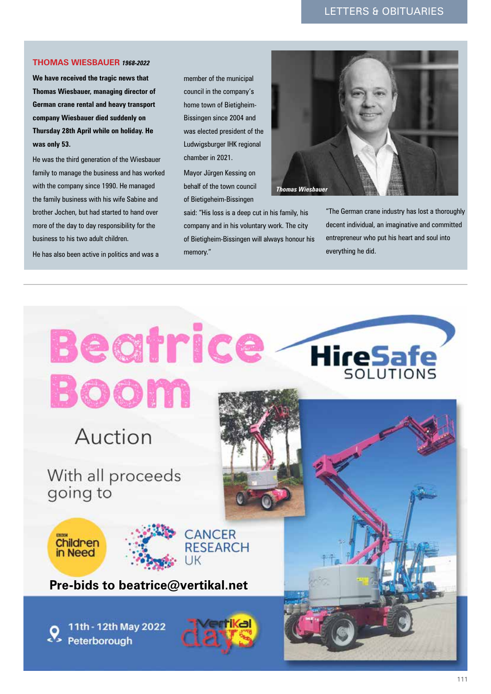# letters & Obituaries

#### **Thomas Wiesbauer** *1968-2022*

**We have received the tragic news that Thomas Wiesbauer, managing director of German crane rental and heavy transport company Wiesbauer died suddenly on Thursday 28th April while on holiday. He was only 53.** 

He was the third generation of the Wiesbauer family to manage the business and has worked with the company since 1990. He managed the family business with his wife Sabine and brother Jochen, but had started to hand over more of the day to day responsibility for the business to his two adult children.

He has also been active in politics and was a

member of the municipal council in the company's home town of Bietigheim-Bissingen since 2004 and was elected president of the Ludwigsburger IHK regional chamber in 2021.

Mayor Jürgen Kessing on behalf of the town council of Bietigeheim-Bissingen

said: "His loss is a deep cut in his family, his company and in his voluntary work. The city of Bietigheim-Bissingen will always honour his memory."



"The German crane industry has lost a thoroughly decent individual, an imaginative and committed entrepreneur who put his heart and soul into everything he did.

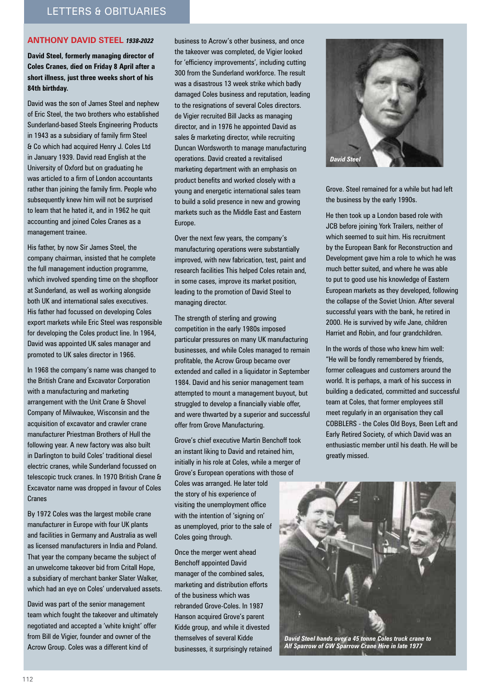## **Anthony David Steel** *1938-2022*

**David Steel, formerly managing director of Coles Cranes, died on Friday 8 April after a short illness, just three weeks short of his 84th birthday.** 

David was the son of James Steel and nephew of Eric Steel, the two brothers who established Sunderland-based Steels Engineering Products in 1943 as a subsidiary of family firm Steel & Co which had acquired Henry J. Coles Ltd in January 1939. David read English at the University of Oxford but on graduating he was articled to a firm of London accountants rather than joining the family firm. People who subsequently knew him will not be surprised to learn that he hated it, and in 1962 he quit accounting and joined Coles Cranes as a management trainee.

His father, by now Sir James Steel, the company chairman, insisted that he complete the full management induction programme, which involved spending time on the shopfloor at Sunderland, as well as working alongside both UK and international sales executives. His father had focussed on developing Coles export markets while Eric Steel was responsible for developing the Coles product line. In 1964, David was appointed UK sales manager and promoted to UK sales director in 1966.

In 1968 the company's name was changed to the British Crane and Excavator Corporation with a manufacturing and marketing arrangement with the Unit Crane & Shovel Company of Milwaukee, Wisconsin and the acquisition of excavator and crawler crane manufacturer Priestman Brothers of Hull the following year. A new factory was also built in Darlington to build Coles' traditional diesel electric cranes, while Sunderland focussed on telescopic truck cranes. In 1970 British Crane & Excavator name was dropped in favour of Coles Cranes

By 1972 Coles was the largest mobile crane manufacturer in Europe with four UK plants and facilities in Germany and Australia as well as licensed manufacturers in India and Poland. That year the company became the subject of an unwelcome takeover bid from Critall Hope, a subsidiary of merchant banker Slater Walker, which had an eye on Coles' undervalued assets.

David was part of the senior management team which fought the takeover and ultimately negotiated and accepted a 'white knight' offer from Bill de Vigier, founder and owner of the Acrow Group. Coles was a different kind of

business to Acrow's other business, and once the takeover was completed, de Vigier looked for 'efficiency improvements', including cutting 300 from the Sunderland workforce. The result was a disastrous 13 week strike which badly damaged Coles business and reputation, leading to the resignations of several Coles directors. de Vigier recruited Bill Jacks as managing director, and in 1976 he appointed David as sales & marketing director, while recruiting Duncan Wordsworth to manage manufacturing operations. David created a revitalised marketing department with an emphasis on product benefits and worked closely with a young and energetic international sales team to build a solid presence in new and growing markets such as the Middle East and Eastern Europe.

Over the next few years, the company's manufacturing operations were substantially improved, with new fabrication, test, paint and research facilities This helped Coles retain and, in some cases, improve its market position, leading to the promotion of David Steel to managing director.

The strength of sterling and growing competition in the early 1980s imposed particular pressures on many UK manufacturing businesses, and while Coles managed to remain profitable, the Acrow Group became over extended and called in a liquidator in September 1984. David and his senior management team attempted to mount a management buyout, but struggled to develop a financially viable offer, and were thwarted by a superior and successful offer from Grove Manufacturing.

Grove's chief executive Martin Benchoff took an instant liking to David and retained him, initially in his role at Coles, while a merger of Grove's European operations with those of Coles was arranged. He later told the story of his experience of visiting the unemployment office with the intention of 'signing on' as unemployed, prior to the sale of Coles going through.

Once the merger went ahead Benchoff appointed David manager of the combined sales, marketing and distribution efforts of the business which was rebranded Grove-Coles. In 1987 Hanson acquired Grove's parent Kidde group, and while it divested themselves of several Kidde businesses, it surprisingly retained



Grove. Steel remained for a while but had left the business by the early 1990s.

He then took up a London based role with JCB before joining York Trailers, neither of which seemed to suit him. His recruitment by the European Bank for Reconstruction and Development gave him a role to which he was much better suited, and where he was able to put to good use his knowledge of Eastern European markets as they developed, following the collapse of the Soviet Union. After several successful years with the bank, he retired in 2000. He is survived by wife Jane, children Harriet and Robin, and four grandchildren.

In the words of those who knew him well: "He will be fondly remembered by friends, former colleagues and customers around the world. It is perhaps, a mark of his success in building a dedicated, committed and successful team at Coles, that former employees still meet regularly in an organisation they call COBBLERS - the Coles Old Boys, Been Left and Early Retired Society, of which David was an enthusiastic member until his death. He will be greatly missed.



*Alf Sparrow of GW Sparrow Crane Hire in late 1977*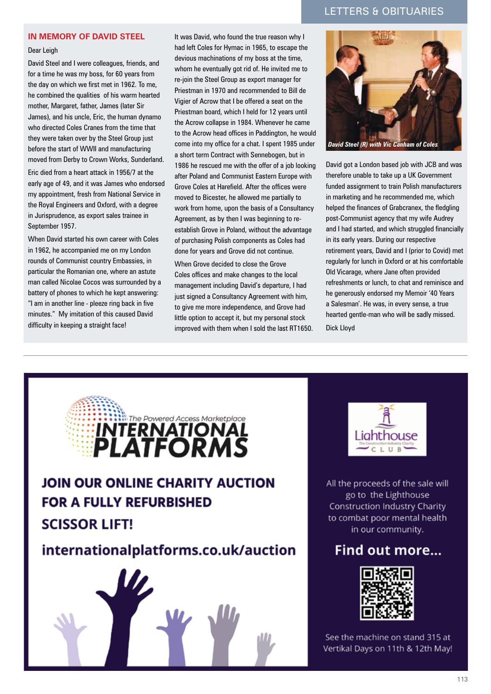# letters & Obituaries

## **In memory of David Steel**

Dear Leigh

David Steel and I were colleagues, friends, and for a time he was my boss, for 60 years from the day on which we first met in 1962. To me, he combined the qualities of his warm hearted mother, Margaret, father, James (later Sir James), and his uncle, Eric, the human dynamo who directed Coles Cranes from the time that they were taken over by the Steel Group just before the start of WWII and manufacturing moved from Derby to Crown Works, Sunderland.

Eric died from a heart attack in 1956/7 at the early age of 49, and it was James who endorsed my appointment, fresh from National Service in the Royal Engineers and Oxford, with a degree in Jurisprudence, as export sales trainee in September 1957.

When David started his own career with Coles in 1962, he accompanied me on my London rounds of Communist country Embassies, in particular the Romanian one, where an astute man called Nicolae Cocos was surrounded by a battery of phones to which he kept answering: "I am in another line - pleeze ring back in five minutes." My imitation of this caused David difficulty in keeping a straight face!

It was David, who found the true reason why I had left Coles for Hymac in 1965, to escape the devious machinations of my boss at the time, whom he eventually got rid of. He invited me to re-join the Steel Group as export manager for Priestman in 1970 and recommended to Bill de Vigier of Acrow that I be offered a seat on the Priestman board, which I held for 12 years until the Acrow collapse in 1984. Whenever he came to the Acrow head offices in Paddington, he would come into my office for a chat. I spent 1985 under a short term Contract with Sennebogen, but in 1986 he rescued me with the offer of a job looking after Poland and Communist Eastern Europe with Grove Coles at Harefield. After the offices were moved to Bicester, he allowed me partially to work from home, upon the basis of a Consultancy Agreement, as by then I was beginning to reestablish Grove in Poland, without the advantage of purchasing Polish components as Coles had done for years and Grove did not continue.

When Grove decided to close the Grove Coles offices and make changes to the local management including David's departure, I had just signed a Consultancy Agreement with him, to give me more independence, and Grove had little option to accept it, but my personal stock improved with them when I sold the last RT1650.



David got a London based job with JCB and was therefore unable to take up a UK Government funded assignment to train Polish manufacturers in marketing and he recommended me, which helped the finances of Grabcranex, the fledgling post-Communist agency that my wife Audrey and I had started, and which struggled financially in its early years. During our respective retirement years, David and I (prior to Covid) met regularly for lunch in Oxford or at his comfortable Old Vicarage, where Jane often provided refreshments or lunch, to chat and reminisce and he generously endorsed my Memoir '40 Years a Salesman'. He was, in every sense, a true hearted gentle-man who will be sadly missed. Dick Lloyd





All the proceeds of the sale will go to the Lighthouse Construction Industry Charity to combat poor mental health in our community.

# Find out more...



See the machine on stand 315 at Vertikal Days on 11th & 12th May!